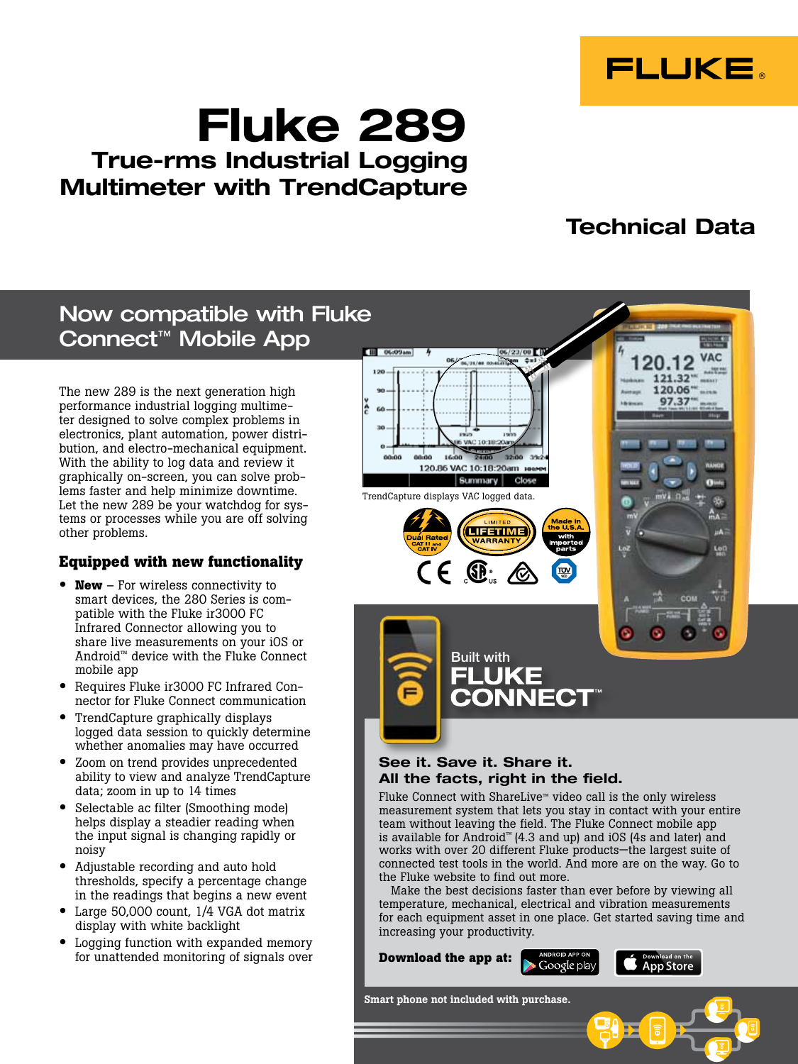

# Fluke 289 True-rms Industrial Logging Multimeter with TrendCapture

## Technical Data

## Now compatible with Fluke Connect™ Mobile App

The new 289 is the next generation high performance industrial logging multimeter designed to solve complex problems in electronics, plant automation, power distribution, and electro-mechanical equipment. With the ability to log data and review it graphically on-screen, you can solve problems faster and help minimize downtime. Let the new 289 be your watchdog for systems or processes while you are off solving other problems.

## **Equipped with new functionality**

- **New** For wireless connectivity to smart devices, the 280 Series is compatible with the Fluke ir3000 FC Infrared Connector allowing you to share live measurements on your iOS or Android™ device with the Fluke Connect mobile app
- Requires Fluke ir3000 FC Infrared Connector for Fluke Connect communication
- TrendCapture graphically displays logged data session to quickly determine whether anomalies may have occurred
- Zoom on trend provides unprecedented ability to view and analyze TrendCapture data; zoom in up to 14 times
- Selectable ac filter (Smoothing mode) helps display a steadier reading when the input signal is changing rapidly or noisy
- Adjustable recording and auto hold thresholds, specify a percentage change in the readings that begins a new event
- Large 50,000 count, 1/4 VGA dot matrix display with white backlight
- Logging function with expanded memory for unattended monitoring of signals over



### See it. Save it. Share it. All the facts, right in the field.

Fluke Connect with ShareLive™ video call is the only wireless measurement system that lets you stay in contact with your entire team without leaving the field. The Fluke Connect mobile app is available for Android™ (4.3 and up) and iOS (4s and later) and works with over 20 different Fluke products—the largest suite of connected test tools in the world. And more are on the way. Go to the Fluke website to find out more.

Make the best decisions faster than ever before by viewing all temperature, mechanical, electrical and vibration measurements for each equipment asset in one place. Get started saving time and increasing your productivity.

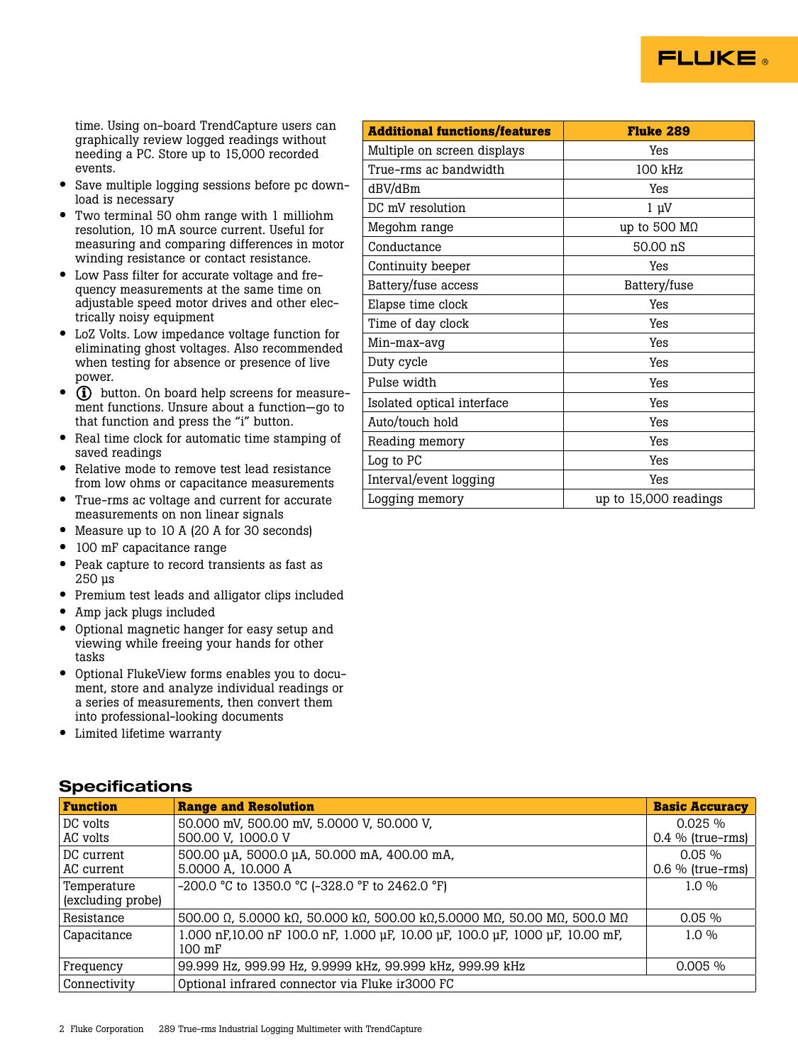

time. Using on-board TrendCapture users can graphically review logged readings without needing a PC. Store up to 15,000 recorded events.

- Save multiple logging sessions before pc download is necessary
- Two terminal 50 ohm range with 1 milliohm resolution, 10 mA source current. Useful for measuring and comparing differences in motor winding resistance or contact resistance.
- Low Pass filter for accurate voltage and frequency measurements at the same time on adjustable speed motor drives and other electrically noisy equipment
- LoZ Volts. Low impedance voltage function for eliminating ghost voltages. Also recommended when testing for absence or presence of live power.
- **(i)** button. On board help screens for measurement functions. Unsure about a function—go to that function and press the "i" button.
- Real time clock for automatic time stamping of saved readings
- Relative mode to remove test lead resistance from low ohms or capacitance measurements
- True-rms ac voltage and current for accurate measurements on non linear signals
- Measure up to 10 A (20 A for 30 seconds)
- 100 mF capacitance range
- Peak capture to record transients as fast as 250 µs
- Premium test leads and alligator clips included
- Amp jack plugs included
- Optional magnetic hanger for easy setup and viewing while freeing your hands for other tasks
- Optional FlukeView forms enables you to document, store and analyze individual readings or a series of measurements, then convert them into professional-looking documents
- Limited lifetime warranty

### **Specifications**

| <b>Additional functions/features</b> | <b>Fluke 289</b>      |
|--------------------------------------|-----------------------|
| Multiple on screen displays          | Yes                   |
| True-rms ac bandwidth                | 100 kHz               |
| dBV/dBm                              | Yes                   |
| DC mV resolution                     | $1 \mu V$             |
| Megohm range                         | up to 500 $M\Omega$   |
| Conductance                          | 50.00 nS              |
| Continuity beeper                    | Yes                   |
| Battery/fuse access                  | Battery/fuse          |
| Elapse time clock                    | Yes                   |
| Time of day clock                    | Yes                   |
| Min-max-avg                          | Yes                   |
| Duty cycle                           | Yes                   |
| Pulse width                          | Yes                   |
| Isolated optical interface           | Yes                   |
| Auto/touch hold                      | Yes                   |
| Reading memory                       | Yes                   |
| Log to PC                            | Yes                   |
| Interval/event logging               | Yes                   |
| Logging memory                       | up to 15,000 readings |

| <b>Function</b>   | <b>Range and Resolution</b>                                                  | <b>Basic Accuracy</b> |
|-------------------|------------------------------------------------------------------------------|-----------------------|
| DC volts          | 50.000 mV, 500.00 mV, 5.0000 V, 50.000 V,                                    | $0.025 \%$            |
| AC volts          | 500.00 V, 1000.0 V                                                           | $0.4\%$ (true-rms)    |
| DC current        | 500.00 µA, 5000.0 µA, 50.000 mA, 400.00 mA,                                  | $0.05\%$              |
| AC current        | 5.0000 A, 10.000 A                                                           | $0.6\%$ (true-rms)    |
| Temperature       | -200.0 °C to 1350.0 °C (-328.0 °F to 2462.0 °F)                              | $1.0\%$               |
| (excluding probe) |                                                                              |                       |
| Resistance        | 500.00 Ω, 5.0000 kΩ, 50.000 kΩ, 500.00 kΩ, 5.0000 MΩ, 50.00 MΩ, 500.0 MΩ     | $0.05\%$              |
| Capacitance       | 1.000 nF,10.00 nF 100.0 nF, 1.000 µF, 10.00 µF, 100.0 µF, 1000 µF, 10.00 mF, | $1.0\%$               |
|                   | $100$ mF                                                                     |                       |
| Frequency         | 99.999 Hz, 999.99 Hz, 9.9999 kHz, 99.999 kHz, 999.99 kHz                     | $0.005\%$             |
| Connectivity      | Optional infrared connector via Fluke ir 3000 FC                             |                       |